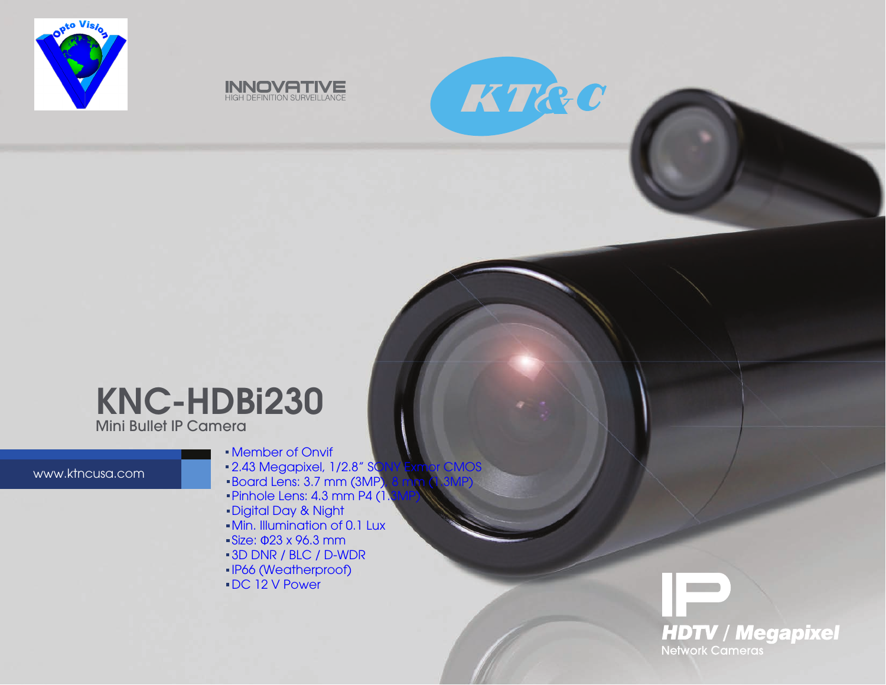





## Mini Bullet IP Camera KNC-HDBi230

www.ktncusa.com

- Member of Onvif
- 2.43 Megapixel, 1/2.8" SONY Exmor CMOS
- Board Lens: 3.7 mm (3MP), 8 mm (1.3MP)
- $\blacksquare$ Pinhole Lens: 4.3 mm P4  $(1,3)$
- Digital Day & Night
- Min. Illumination of 0.1 Lux
- Size: Φ23 x 96.3 mm
- 3D DNR / BLC / D-WDR
- IP66 (Weatherproof)
- DC 12 V Power